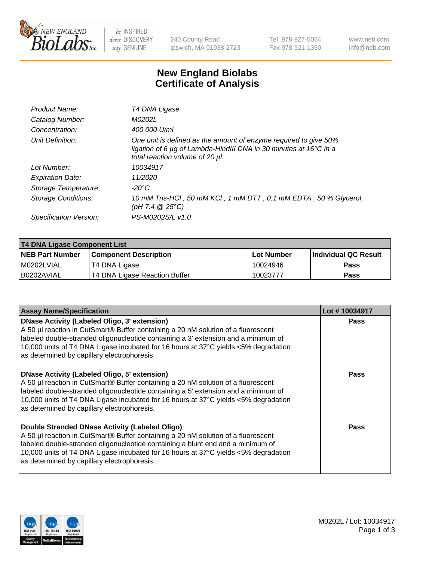

be INSPIRED drive DISCOVERY stay GENUINE

240 County Road Ipswich, MA 01938-2723 Tel 978-927-5054 Fax 978-921-1350 www.neb.com info@neb.com

## **New England Biolabs Certificate of Analysis**

| Product Name:              | T4 DNA Ligase                                                                                                                                                                           |
|----------------------------|-----------------------------------------------------------------------------------------------------------------------------------------------------------------------------------------|
| Catalog Number:            | M0202L                                                                                                                                                                                  |
| Concentration:             | 400,000 U/ml                                                                                                                                                                            |
| Unit Definition:           | One unit is defined as the amount of enzyme required to give 50%<br>ligation of 6 $\mu$ g of Lambda-HindIII DNA in 30 minutes at 16 $\degree$ C in a<br>total reaction volume of 20 µl. |
| Lot Number:                | 10034917                                                                                                                                                                                |
| <b>Expiration Date:</b>    | 11/2020                                                                                                                                                                                 |
| Storage Temperature:       | -20°C                                                                                                                                                                                   |
| <b>Storage Conditions:</b> | 10 mM Tris-HCl, 50 mM KCl, 1 mM DTT, 0.1 mM EDTA, 50 % Glycerol,<br>(pH 7.4 $@25°C$ )                                                                                                   |
| Specification Version:     | PS-M0202S/L v1.0                                                                                                                                                                        |

| <b>T4 DNA Ligase Component List</b> |                               |            |                             |  |  |
|-------------------------------------|-------------------------------|------------|-----------------------------|--|--|
| <b>NEB Part Number</b>              | <b>Component Description</b>  | Lot Number | <b>Individual QC Result</b> |  |  |
| I M0202LVIAL                        | T4 DNA Ligase                 | 10024946   | <b>Pass</b>                 |  |  |
| I B0202AVIAL                        | T4 DNA Ligase Reaction Buffer | 10023777   | <b>Pass</b>                 |  |  |

| <b>Assay Name/Specification</b>                                                                                                                                                                                                                                                                                                                                      | Lot #10034917 |
|----------------------------------------------------------------------------------------------------------------------------------------------------------------------------------------------------------------------------------------------------------------------------------------------------------------------------------------------------------------------|---------------|
| <b>DNase Activity (Labeled Oligo, 3' extension)</b><br>A 50 µl reaction in CutSmart® Buffer containing a 20 nM solution of a fluorescent<br>labeled double-stranded oligonucleotide containing a 3' extension and a minimum of<br>10,000 units of T4 DNA Ligase incubated for 16 hours at 37°C yields <5% degradation<br>as determined by capillary electrophoresis. | <b>Pass</b>   |
| <b>DNase Activity (Labeled Oligo, 5' extension)</b><br>A 50 µl reaction in CutSmart® Buffer containing a 20 nM solution of a fluorescent<br>labeled double-stranded oligonucleotide containing a 5' extension and a minimum of<br>10,000 units of T4 DNA Ligase incubated for 16 hours at 37°C yields <5% degradation<br>as determined by capillary electrophoresis. | Pass          |
| Double Stranded DNase Activity (Labeled Oligo)<br>A 50 µl reaction in CutSmart® Buffer containing a 20 nM solution of a fluorescent<br>labeled double-stranded oligonucleotide containing a blunt end and a minimum of<br>10,000 units of T4 DNA Ligase incubated for 16 hours at 37°C yields <5% degradation<br>as determined by capillary electrophoresis.         | Pass          |

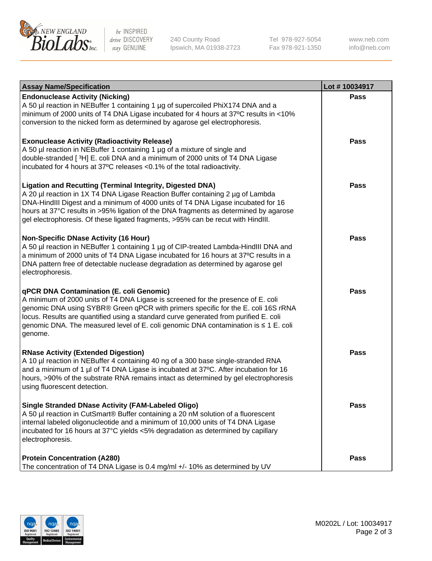

be INSPIRED drive DISCOVERY stay GENUINE

240 County Road Ipswich, MA 01938-2723 Tel 978-927-5054 Fax 978-921-1350

www.neb.com info@neb.com

| <b>Assay Name/Specification</b>                                                                                                                                                                                                                                                                                                                                                                                    | Lot #10034917 |
|--------------------------------------------------------------------------------------------------------------------------------------------------------------------------------------------------------------------------------------------------------------------------------------------------------------------------------------------------------------------------------------------------------------------|---------------|
| <b>Endonuclease Activity (Nicking)</b><br>A 50 µl reaction in NEBuffer 1 containing 1 µg of supercoiled PhiX174 DNA and a<br>minimum of 2000 units of T4 DNA Ligase incubated for 4 hours at 37°C results in <10%<br>conversion to the nicked form as determined by agarose gel electrophoresis.                                                                                                                   | <b>Pass</b>   |
| <b>Exonuclease Activity (Radioactivity Release)</b><br>A 50 µl reaction in NEBuffer 1 containing 1 µg of a mixture of single and<br>double-stranded [3H] E. coli DNA and a minimum of 2000 units of T4 DNA Ligase<br>incubated for 4 hours at 37°C releases <0.1% of the total radioactivity.                                                                                                                      | <b>Pass</b>   |
| <b>Ligation and Recutting (Terminal Integrity, Digested DNA)</b><br>A 20 µl reaction in 1X T4 DNA Ligase Reaction Buffer containing 2 µg of Lambda<br>DNA-HindIII Digest and a minimum of 4000 units of T4 DNA Ligase incubated for 16<br>hours at 37°C results in >95% ligation of the DNA fragments as determined by agarose<br>gel electrophoresis. Of these ligated fragments, >95% can be recut with HindIII. | <b>Pass</b>   |
| <b>Non-Specific DNase Activity (16 Hour)</b><br>A 50 µl reaction in NEBuffer 1 containing 1 µg of CIP-treated Lambda-HindIII DNA and<br>a minimum of 2000 units of T4 DNA Ligase incubated for 16 hours at 37°C results in a<br>DNA pattern free of detectable nuclease degradation as determined by agarose gel<br>electrophoresis.                                                                               | <b>Pass</b>   |
| qPCR DNA Contamination (E. coli Genomic)<br>A minimum of 2000 units of T4 DNA Ligase is screened for the presence of E. coli<br>genomic DNA using SYBR® Green qPCR with primers specific for the E. coli 16S rRNA<br>locus. Results are quantified using a standard curve generated from purified E. coli<br>genomic DNA. The measured level of E. coli genomic DNA contamination is ≤ 1 E. coli<br>genome.        | <b>Pass</b>   |
| <b>RNase Activity (Extended Digestion)</b><br>A 10 µl reaction in NEBuffer 4 containing 40 ng of a 300 base single-stranded RNA<br>and a minimum of 1 µl of T4 DNA Ligase is incubated at 37°C. After incubation for 16<br>hours, >90% of the substrate RNA remains intact as determined by gel electrophoresis<br>using fluorescent detection.                                                                    | Pass          |
| <b>Single Stranded DNase Activity (FAM-Labeled Oligo)</b><br>A 50 µl reaction in CutSmart® Buffer containing a 20 nM solution of a fluorescent<br>internal labeled oligonucleotide and a minimum of 10,000 units of T4 DNA Ligase<br>incubated for 16 hours at 37°C yields <5% degradation as determined by capillary<br>electrophoresis.                                                                          | <b>Pass</b>   |
| <b>Protein Concentration (A280)</b><br>The concentration of T4 DNA Ligase is 0.4 mg/ml +/- 10% as determined by UV                                                                                                                                                                                                                                                                                                 | <b>Pass</b>   |